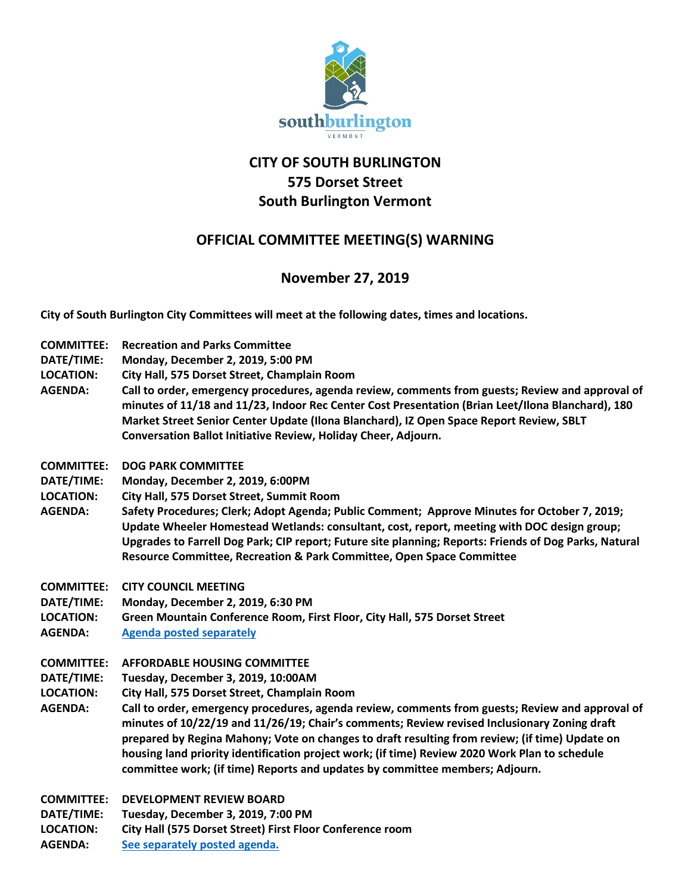

# **CITY OF SOUTH BURLINGTON 575 Dorset Street South Burlington Vermont**

## **OFFICIAL COMMITTEE MEETING(S) WARNING**

## **November 27, 2019**

**City of South Burlington City Committees will meet at the following dates, times and locations.** 

- **COMMITTEE: Recreation and Parks Committee**
- **DATE/TIME: Monday, December 2, 2019, 5:00 PM**
- **LOCATION: City Hall, 575 Dorset Street, Champlain Room**
- **AGENDA: Call to order, emergency procedures, agenda review, comments from guests; Review and approval of minutes of 11/18 and 11/23, Indoor Rec Center Cost Presentation (Brian Leet/Ilona Blanchard), 180 Market Street Senior Center Update (Ilona Blanchard), IZ Open Space Report Review, SBLT Conversation Ballot Initiative Review, Holiday Cheer, Adjourn.**
- **COMMITTEE: DOG PARK COMMITTEE**
- **DATE/TIME: Monday, December 2, 2019, 6:00PM**
- **LOCATION: City Hall, 575 Dorset Street, Summit Room**
- **AGENDA: Safety Procedures; Clerk; Adopt Agenda; Public Comment; Approve Minutes for October 7, 2019; Update Wheeler Homestead Wetlands: consultant, cost, report, meeting with DOC design group; Upgrades to Farrell Dog Park; CIP report; Future site planning; Reports: Friends of Dog Parks, Natural Resource Committee, Recreation & Park Committee, Open Space Committee**
- **COMMITTEE: CITY COUNCIL MEETING**
- **DATE/TIME: Monday, December 2, 2019, 6:30 PM**
- **LOCATION: Green Mountain Conference Room, First Floor, City Hall, 575 Dorset Street**
- **AGENDA: [Agenda posted separately](http://sbvt-records.info/WebLink/Browse.aspx?id=25962&dbid=0&repo=sburl)**
- **COMMITTEE: AFFORDABLE HOUSING COMMITTEE**
- **DATE/TIME: Tuesday, December 3, 2019, 10:00AM**
- **LOCATION: City Hall, 575 Dorset Street, Champlain Room**
- **AGENDA: Call to order, emergency procedures, agenda review, comments from guests; Review and approval of minutes of 10/22/19 and 11/26/19; Chair's comments; Review revised Inclusionary Zoning draft prepared by Regina Mahony; Vote on changes to draft resulting from review; (if time) Update on housing land priority identification project work; (if time) Review 2020 Work Plan to schedule committee work; (if time) Reports and updates by committee members; Adjourn.**
- **COMMITTEE: DEVELOPMENT REVIEW BOARD**
- **DATE/TIME: Tuesday, December 3, 2019, 7:00 PM**
- **LOCATION: City Hall (575 Dorset Street) First Floor Conference room**
- **AGENDA: [See separately posted agenda.](http://sbvt-records.info/WebLink/Browse.aspx?id=40953&dbid=0&repo=sburl)**